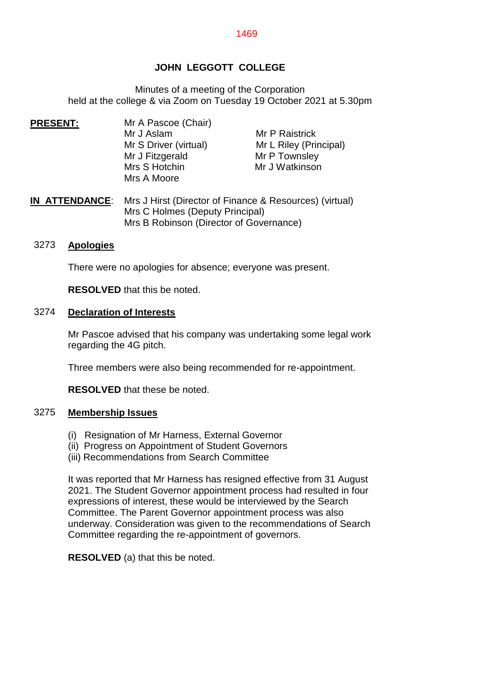# **JOHN LEGGOTT COLLEGE**

Minutes of a meeting of the Corporation held at the college & via Zoom on Tuesday 19 October 2021 at 5.30pm

- **PRESENT: PRESENT:** Mr A Pascoe (Chair) Mr J Aslam Mr P Raistrick Mr S Driver (virtual) Mr L Riley (Principal) Mr J Fitzgerald Mr P Townsley Mrs S Hotchin Mr J Watkinson Mrs A Moore
- **IN ATTENDANCE**: Mrs J Hirst (Director of Finance & Resources) (virtual) Mrs C Holmes (Deputy Principal) Mrs B Robinson (Director of Governance)

## 3273 **Apologies**

There were no apologies for absence; everyone was present.

**RESOLVED** that this be noted.

### 3274 **Declaration of Interests**

Mr Pascoe advised that his company was undertaking some legal work regarding the 4G pitch.

Three members were also being recommended for re-appointment.

**RESOLVED** that these be noted.

### 3275 **Membership Issues**

- (i) Resignation of Mr Harness, External Governor
- (ii) Progress on Appointment of Student Governors
- (iii) Recommendations from Search Committee

It was reported that Mr Harness has resigned effective from 31 August 2021. The Student Governor appointment process had resulted in four expressions of interest, these would be interviewed by the Search Committee. The Parent Governor appointment process was also underway. Consideration was given to the recommendations of Search Committee regarding the re-appointment of governors.

**RESOLVED** (a) that this be noted.

#### 1469